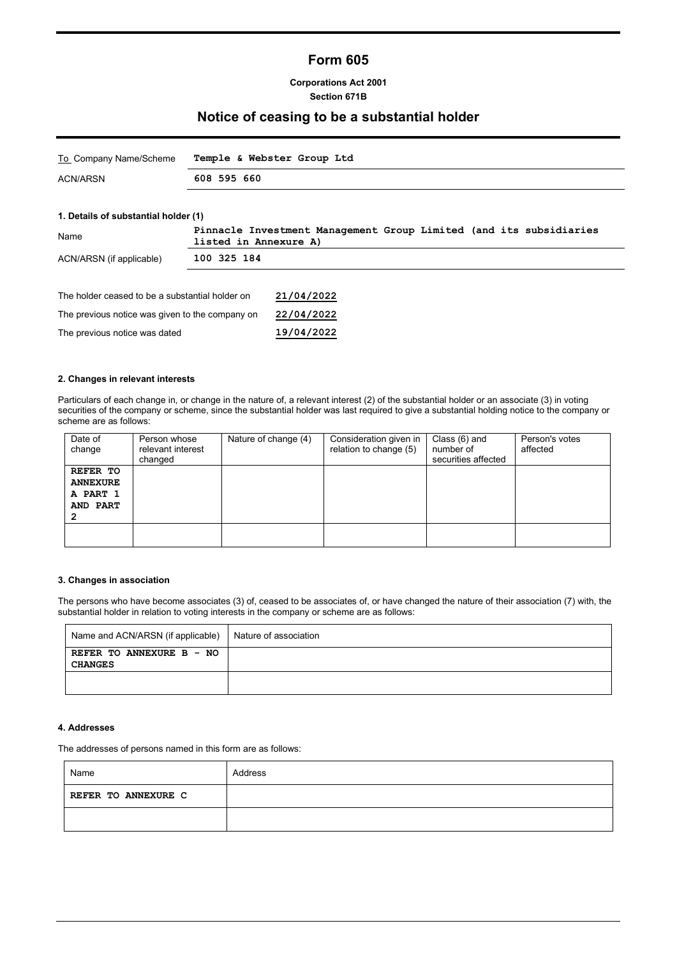# **Form 605**

### **Corporations Act 2001 Section 671B**

### **Notice of ceasing to be a substantial holder**

| To Company Name/Scheme | Temple & Webster Group Ltd |
|------------------------|----------------------------|
| ACN/ARSN               | 608 595 660                |
|                        |                            |

### **1. Details of substantial holder (1)**

| Name                                            | Pinnacle Investment Management Group Limited (and its subsidiaries<br>listed in Annexure A) |            |
|-------------------------------------------------|---------------------------------------------------------------------------------------------|------------|
| ACN/ARSN (if applicable)                        | 100 325 184                                                                                 |            |
|                                                 |                                                                                             |            |
| The holder ceased to be a substantial holder on |                                                                                             | 21/04/2022 |
| The previous notice was given to the company on |                                                                                             | 22/04/2022 |
| The previous notice was dated                   |                                                                                             | 19/04/2022 |

### **2. Changes in relevant interests**

Particulars of each change in, or change in the nature of, a relevant interest (2) of the substantial holder or an associate (3) in voting securities of the company or scheme, since the substantial holder was last required to give a substantial holding notice to the company or scheme are as follows:

| Date of<br>change                                               | Person whose<br>relevant interest<br>changed | Nature of change (4) | Consideration given in<br>relation to change (5) | Class (6) and<br>number of<br>securities affected | Person's votes<br>affected |
|-----------------------------------------------------------------|----------------------------------------------|----------------------|--------------------------------------------------|---------------------------------------------------|----------------------------|
| <b>REFER TO</b><br><b>ANNEXURE</b><br>A PART 1<br>AND PART<br>2 |                                              |                      |                                                  |                                                   |                            |
|                                                                 |                                              |                      |                                                  |                                                   |                            |

#### **3. Changes in association**

The persons who have become associates (3) of, ceased to be associates of, or have changed the nature of their association (7) with, the substantial holder in relation to voting interests in the company or scheme are as follows:

| Name and ACN/ARSN (if applicable)          | Nature of association |
|--------------------------------------------|-----------------------|
| REFER TO ANNEXURE B - NO<br><b>CHANGES</b> |                       |
|                                            |                       |

#### **4. Addresses**

The addresses of persons named in this form are as follows:

| Name                | Address |
|---------------------|---------|
| REFER TO ANNEXURE C |         |
|                     |         |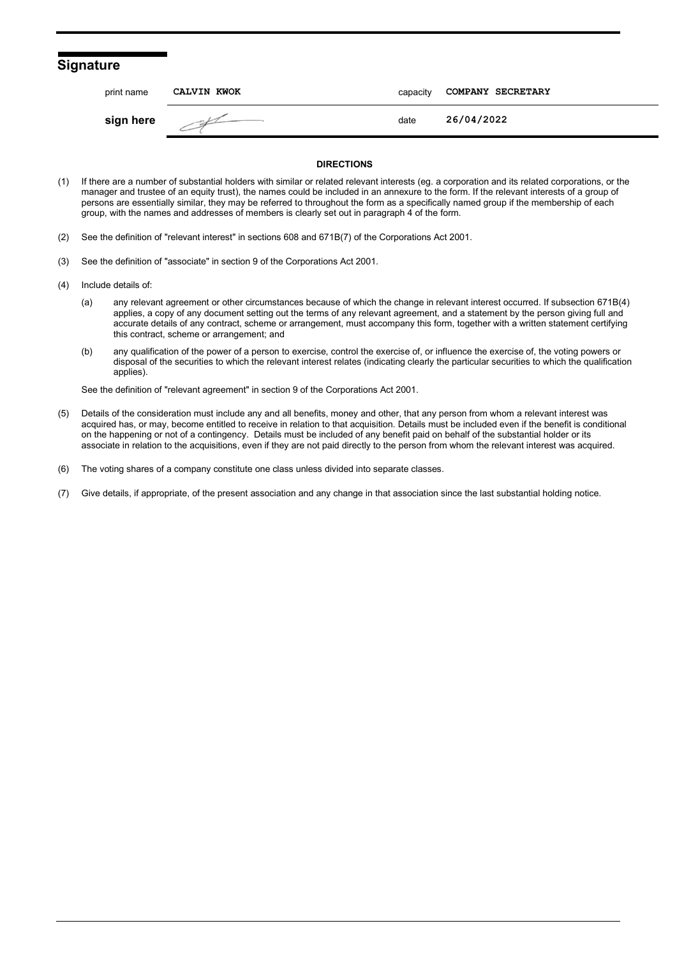### **Signature**

| print name | CALVIN KWOK | capacity | COMPANY SECRETARY |
|------------|-------------|----------|-------------------|
| sign here  |             | date     | 26/04/2022        |

#### **DIRECTIONS**

- (1) If there are a number of substantial holders with similar or related relevant interests (eg. a corporation and its related corporations, or the manager and trustee of an equity trust), the names could be included in an annexure to the form. If the relevant interests of a group of persons are essentially similar, they may be referred to throughout the form as a specifically named group if the membership of each group, with the names and addresses of members is clearly set out in paragraph 4 of the form.
- (2) See the definition of "relevant interest" in sections 608 and 671B(7) of the Corporations Act 2001.
- (3) See the definition of "associate" in section 9 of the Corporations Act 2001.
- (4) Include details of:
	- (a) any relevant agreement or other circumstances because of which the change in relevant interest occurred. If subsection 671B(4) applies, a copy of any document setting out the terms of any relevant agreement, and a statement by the person giving full and accurate details of any contract, scheme or arrangement, must accompany this form, together with a written statement certifying this contract, scheme or arrangement; and
	- (b) any qualification of the power of a person to exercise, control the exercise of, or influence the exercise of, the voting powers or disposal of the securities to which the relevant interest relates (indicating clearly the particular securities to which the qualification applies).

See the definition of "relevant agreement" in section 9 of the Corporations Act 2001.

- (5) Details of the consideration must include any and all benefits, money and other, that any person from whom a relevant interest was acquired has, or may, become entitled to receive in relation to that acquisition. Details must be included even if the benefit is conditional on the happening or not of a contingency. Details must be included of any benefit paid on behalf of the substantial holder or its associate in relation to the acquisitions, even if they are not paid directly to the person from whom the relevant interest was acquired.
- (6) The voting shares of a company constitute one class unless divided into separate classes.
- (7) Give details, if appropriate, of the present association and any change in that association since the last substantial holding notice.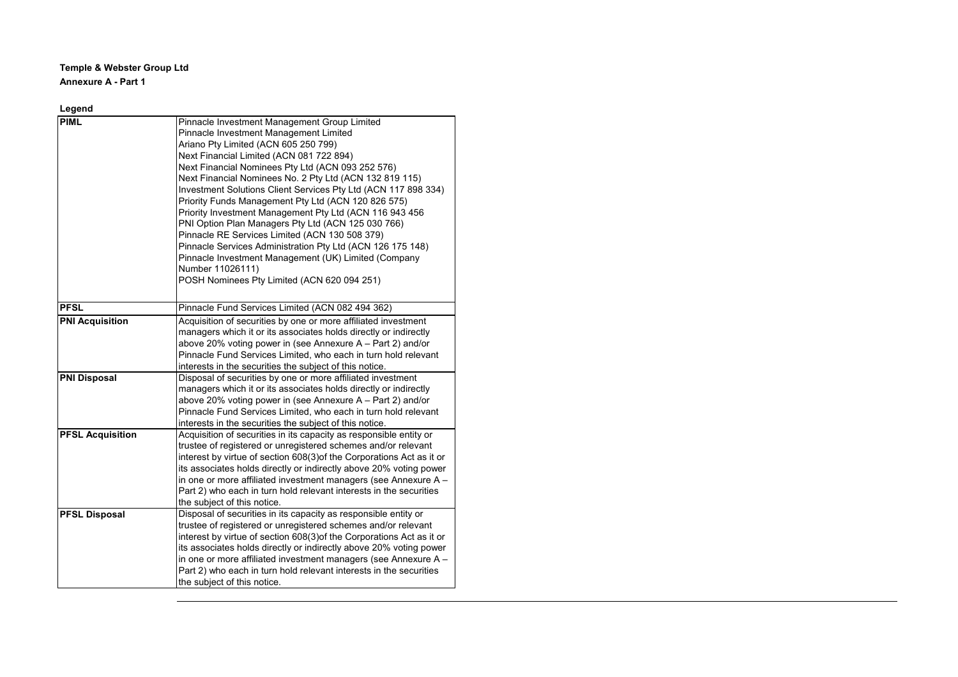**Temple & Webster Group Ltd Annexure A - Part 1**

| Legend                  |                                                                                                                                                                                                                                                                                                                                                                                                                                                                                                                                                                                                                                                                                                                                                                                 |
|-------------------------|---------------------------------------------------------------------------------------------------------------------------------------------------------------------------------------------------------------------------------------------------------------------------------------------------------------------------------------------------------------------------------------------------------------------------------------------------------------------------------------------------------------------------------------------------------------------------------------------------------------------------------------------------------------------------------------------------------------------------------------------------------------------------------|
| <b>PIML</b>             | Pinnacle Investment Management Group Limited<br>Pinnacle Investment Management Limited<br>Ariano Pty Limited (ACN 605 250 799)<br>Next Financial Limited (ACN 081 722 894)<br>Next Financial Nominees Pty Ltd (ACN 093 252 576)<br>Next Financial Nominees No. 2 Pty Ltd (ACN 132 819 115)<br>Investment Solutions Client Services Pty Ltd (ACN 117 898 334)<br>Priority Funds Management Pty Ltd (ACN 120 826 575)<br>Priority Investment Management Pty Ltd (ACN 116 943 456<br>PNI Option Plan Managers Pty Ltd (ACN 125 030 766)<br>Pinnacle RE Services Limited (ACN 130 508 379)<br>Pinnacle Services Administration Pty Ltd (ACN 126 175 148)<br>Pinnacle Investment Management (UK) Limited (Company<br>Number 11026111)<br>POSH Nominees Pty Limited (ACN 620 094 251) |
| <b>PFSL</b>             | Pinnacle Fund Services Limited (ACN 082 494 362)                                                                                                                                                                                                                                                                                                                                                                                                                                                                                                                                                                                                                                                                                                                                |
| <b>PNI Acquisition</b>  | Acquisition of securities by one or more affiliated investment<br>managers which it or its associates holds directly or indirectly<br>above 20% voting power in (see Annexure $A - Part 2$ ) and/or<br>Pinnacle Fund Services Limited, who each in turn hold relevant<br>interests in the securities the subject of this notice.                                                                                                                                                                                                                                                                                                                                                                                                                                                |
| <b>PNI Disposal</b>     | Disposal of securities by one or more affiliated investment<br>managers which it or its associates holds directly or indirectly<br>above 20% voting power in (see Annexure $A - Part 2$ ) and/or<br>Pinnacle Fund Services Limited, who each in turn hold relevant<br>interests in the securities the subject of this notice.                                                                                                                                                                                                                                                                                                                                                                                                                                                   |
| <b>PFSL Acquisition</b> | Acquisition of securities in its capacity as responsible entity or<br>trustee of registered or unregistered schemes and/or relevant<br>interest by virtue of section 608(3) of the Corporations Act as it or<br>its associates holds directly or indirectly above 20% voting power<br>in one or more affiliated investment managers (see Annexure A -<br>Part 2) who each in turn hold relevant interests in the securities<br>the subject of this notice.                                                                                                                                                                                                                                                                                                                      |
| <b>PFSL Disposal</b>    | Disposal of securities in its capacity as responsible entity or<br>trustee of registered or unregistered schemes and/or relevant<br>interest by virtue of section 608(3) of the Corporations Act as it or<br>its associates holds directly or indirectly above 20% voting power<br>in one or more affiliated investment managers (see Annexure A -<br>Part 2) who each in turn hold relevant interests in the securities<br>the subject of this notice.                                                                                                                                                                                                                                                                                                                         |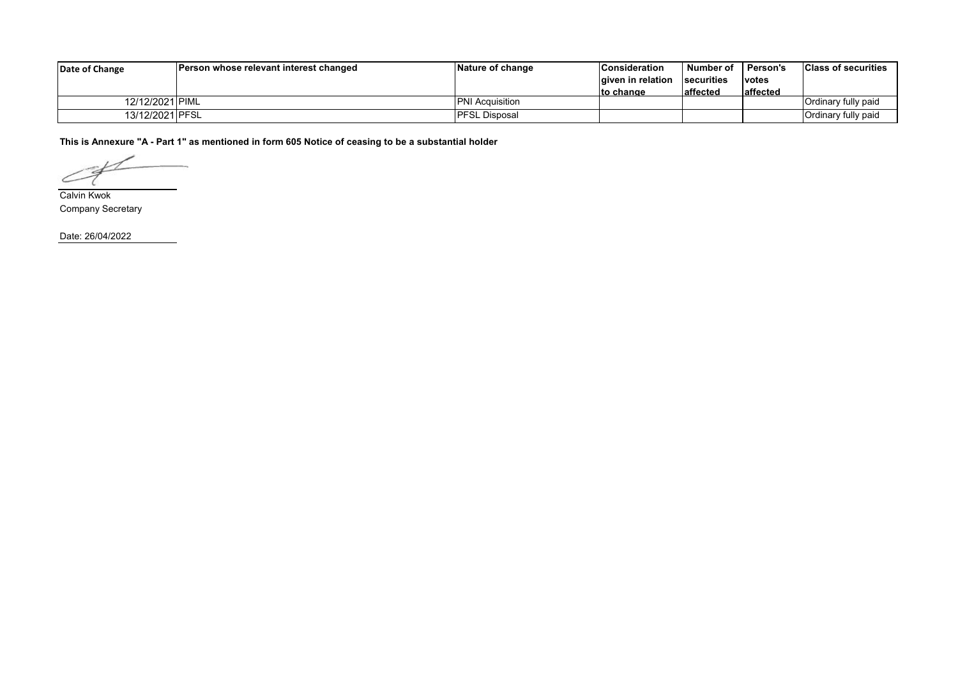| Date of Change  | Person whose relevant interest changed | Nature of change       | <b>Consideration</b> | Number of         | <b>Person's</b> | <b>Class of securities</b> |
|-----------------|----------------------------------------|------------------------|----------------------|-------------------|-----------------|----------------------------|
|                 |                                        |                        | lgiven in relation   | <b>Securities</b> | <b>votes</b>    |                            |
|                 |                                        |                        | <b>to change</b>     | laffected         | affected        |                            |
| 12/12/2021 PIML |                                        | <b>PNI Acquisition</b> |                      |                   |                 | Ordinary fully paid        |
| 13/12/2021 PFSL |                                        | IPFSL Disposal         |                      |                   |                 | Ordinary fully paid        |

**This is Annexure "A - Part 1" as mentioned in form 605 Notice of ceasing to be a substantial holder**

∠

Calvin Kwok Company Secretary

Date: 26/04/2022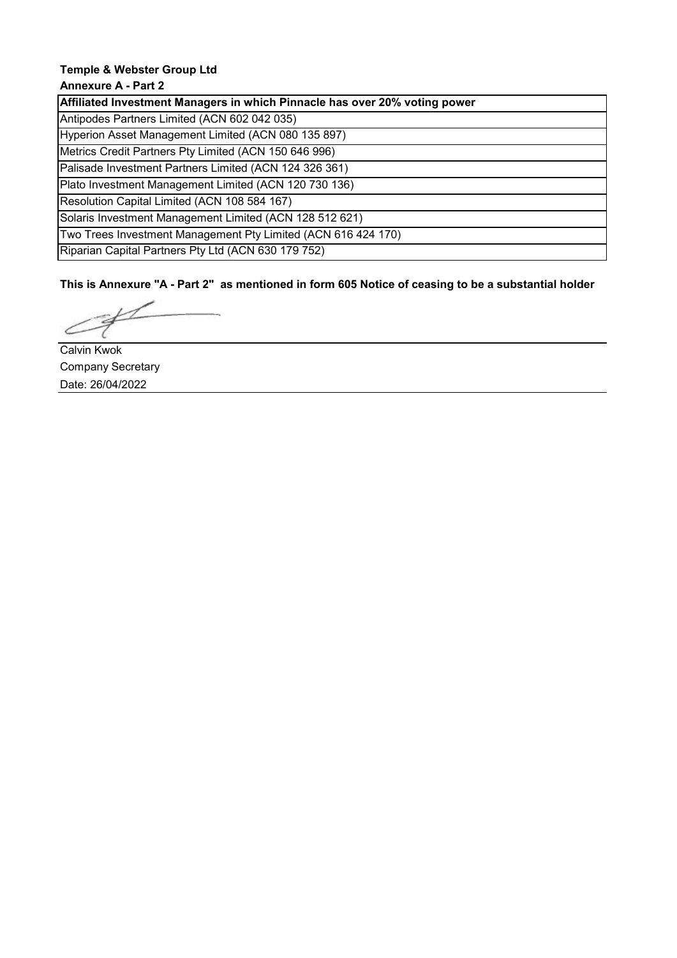# **Temple & Webster Group Ltd**

# **Annexure A - Part 2**

**Affiliated Investment Managers in which Pinnacle has over 20% voting power**

Antipodes Partners Limited (ACN 602 042 035)

Hyperion Asset Management Limited (ACN 080 135 897)

Metrics Credit Partners Pty Limited (ACN 150 646 996) Palisade Investment Partners Limited (ACN 124 326 361)

Plato Investment Management Limited (ACN 120 730 136)

Resolution Capital Limited (ACN 108 584 167)

Solaris Investment Management Limited (ACN 128 512 621)

Two Trees Investment Management Pty Limited (ACN 616 424 170)

Riparian Capital Partners Pty Ltd (ACN 630 179 752)

**This is Annexure "A - Part 2" as mentioned in form 605 Notice of ceasing to be a substantial holder**

Calvin Kwok Company Secretary Date: 26/04/2022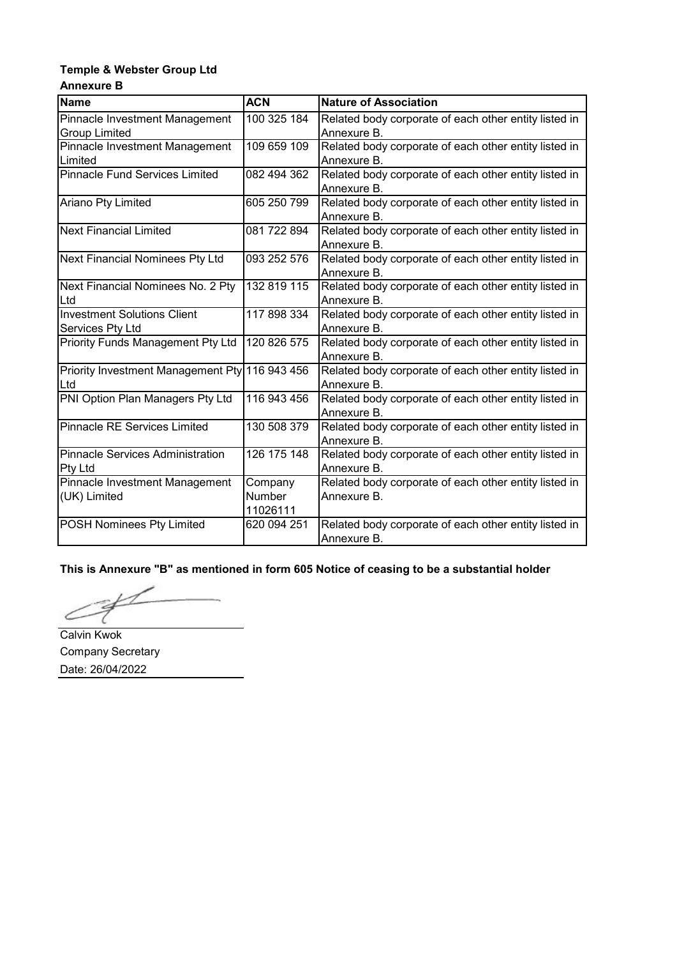### **Temple & Webster Group Ltd Annexure B**

| <b>Name</b>                                    | <b>ACN</b>  | <b>Nature of Association</b>                          |
|------------------------------------------------|-------------|-------------------------------------------------------|
| Pinnacle Investment Management                 | 100 325 184 | Related body corporate of each other entity listed in |
| <b>Group Limited</b>                           |             | Annexure B.                                           |
| Pinnacle Investment Management                 | 109 659 109 | Related body corporate of each other entity listed in |
| Limited                                        |             | Annexure B.                                           |
| <b>Pinnacle Fund Services Limited</b>          | 082 494 362 | Related body corporate of each other entity listed in |
|                                                |             | Annexure B.                                           |
| Ariano Pty Limited                             | 605 250 799 | Related body corporate of each other entity listed in |
|                                                |             | Annexure B.                                           |
| <b>Next Financial Limited</b>                  | 081 722 894 | Related body corporate of each other entity listed in |
|                                                |             | Annexure B.                                           |
| <b>Next Financial Nominees Pty Ltd</b>         | 093 252 576 | Related body corporate of each other entity listed in |
|                                                |             | Annexure B.                                           |
| Next Financial Nominees No. 2 Pty              | 132 819 115 | Related body corporate of each other entity listed in |
| Ltd                                            |             | Annexure B.                                           |
| <b>Investment Solutions Client</b>             | 117 898 334 | Related body corporate of each other entity listed in |
| Services Pty Ltd                               |             | Annexure B.                                           |
| Priority Funds Management Pty Ltd              | 120 826 575 | Related body corporate of each other entity listed in |
|                                                |             | Annexure B.                                           |
| Priority Investment Management Pty 116 943 456 |             | Related body corporate of each other entity listed in |
| Ltd                                            |             | Annexure B.                                           |
| PNI Option Plan Managers Pty Ltd               | 116 943 456 | Related body corporate of each other entity listed in |
|                                                |             | Annexure B.                                           |
| <b>Pinnacle RE Services Limited</b>            | 130 508 379 | Related body corporate of each other entity listed in |
|                                                |             | Annexure B.                                           |
| <b>Pinnacle Services Administration</b>        | 126 175 148 | Related body corporate of each other entity listed in |
| Pty Ltd                                        |             | Annexure B.                                           |
| Pinnacle Investment Management                 | Company     | Related body corporate of each other entity listed in |
| (UK) Limited                                   | Number      | Annexure B.                                           |
|                                                | 11026111    |                                                       |
| <b>POSH Nominees Pty Limited</b>               | 620 094 251 | Related body corporate of each other entity listed in |
|                                                |             | Annexure B.                                           |

**This is Annexure "B" as mentioned in form 605 Notice of ceasing to be a substantial holder**

Ć

Calvin Kwok Company Secretary Date: 26/04/2022